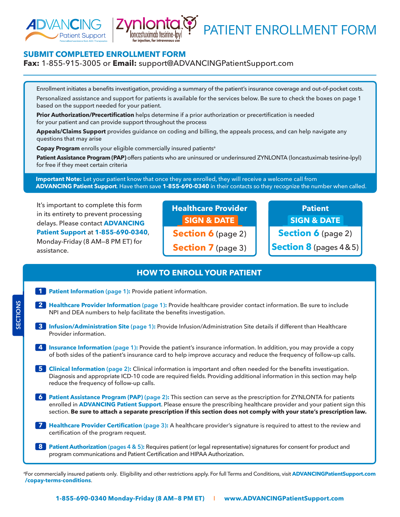



# PATIENT ENROLLMENT FORM

# **SUBMIT COMPLETED ENROLLMENT FORM**

#### **Fax:** 1-855-915-3005 or **Email:** [support@ADVANCINGPatientSupport.com](mailto:support@ADVANCINGPatientSupport.com)

Enrollment initiates a benefits investigation, providing a summary of the patient's insurance coverage and out-of-pocket costs. Personalized assistance and support for patients is available for the services below. Be sure to check the boxes on page 1 based on the support needed for your patient.

**Prior Authorization/Precertification** helps determine if a prior authorization or precertification is needed for your patient and can provide support throughout the process

**Appeals/Claims Support** provides guidance on coding and billing, the appeals process, and can help navigate any questions that may arise

**Copay Program** enrolls your eligible commercially insured patients<sup>a</sup>

Patient Assistance Program (PAP) offers patients who are uninsured or underinsured ZYNLONTA (loncastuximab tesirine-lpyl) for free if they meet certain criteria

 **Important Note:** Let your patient know that once they are enrolled, they will receive a welcome call from **ADVANCING Patient Support**. Have them save **1-855-690-0340** in their contacts so they recognize the number when called.

It's important to complete this form in its entirety to prevent processing delays. Please contact **ADVANCING Patient Support** at **1-855-690-0340**, Monday-Friday (8 AM—8 PM ET) for assistance.

**Healthcare Provider SIGN & DATE Section 6** (page 2) **Section 7** (page 3)

**Patient SIGN & DATE Section 6** (page 2) **Section 8** (pages 4 & 5)

# **HOW TO ENROLL YOUR PATIENT**

**1 Patient Information** (page 1): Provide patient information. **2 Healthcare Provider Information (page 1):** Provide healthcare provider contact information. Be sure to include NPI and DEA numbers to help facilitate the benefits investigation. **3 Infusion/Administration Site (page 1):** Provide Infusion/Administration Site details if different than Healthcare Provider information. **4 Insurance Information** (page 1): Provide the patient's insurance information. In addition, you may provide a copy of both sides of the patient's insurance card to help improve accuracy and reduce the frequency of follow-up calls. **5 Clinical Information (page 2):** Clinical information is important and often needed for the benefits investigation. Diagnosis and appropriate ICD-10 code are required fields. Providing additional information in this section may help reduce the frequency of follow-up calls. **6 Patient Assistance Program (PAP) (page 2):** This section can serve as the prescription for ZYNLONTA for patients enrolled in **ADVANCING Patient Support**. Please ensure the prescribing healthcare provider and your patient sign this section. **Be sure to attach a separate prescription if this section does not comply with your state's prescription law. 7 Healthcare Provider Certification (page 3):** A healthcare provider's signature is required to attest to the review and certification of the program request. **8 Patient Authorization (pages 4 & 5):** Requires patient (or legal representative) signatures for consent for product and program communications and Patient Certification and HIPAA Authorization.

a For commercially insured patients only. Eligibility and other restrictions apply. For full Terms and Conditions, visit **[ADVANCINGPatientSupport.com](https://advancingpatientsupport.com/copay-terms-conditions/) [/copay-terms-conditions](https://advancingpatientsupport.com/copay-terms-conditions/)**.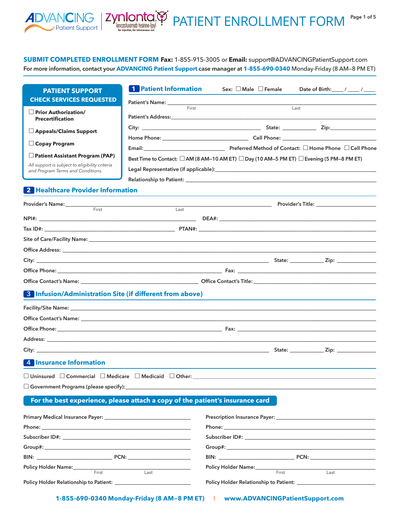

PATIENT ENROLLMENT FORM

**for injection, for intravenous use**

 $\boxed{\text{CING}}$   $\boxed{\text{Zynlonta}}$ 

**Page 1 of 5**

| <b>PATIENT SUPPORT</b>                         | <b>1</b> Patient Information                                                                                                                                                                                                   | Sex: $\Box$ Male $\Box$ Female | Date of Birth: ____ / ____ / ____ |
|------------------------------------------------|--------------------------------------------------------------------------------------------------------------------------------------------------------------------------------------------------------------------------------|--------------------------------|-----------------------------------|
| <b>CHECK SERVICES REQUESTED</b>                |                                                                                                                                                                                                                                |                                |                                   |
| Prior Authorization/                           | First                                                                                                                                                                                                                          |                                | Last                              |
| Precertification                               |                                                                                                                                                                                                                                |                                |                                   |
| $\Box$ Appeals/Claims Support                  |                                                                                                                                                                                                                                |                                |                                   |
|                                                |                                                                                                                                                                                                                                |                                |                                   |
| $\Box$ Copay Program                           |                                                                                                                                                                                                                                |                                |                                   |
| $\Box$ Patient Assistant Program (PAP)         | Best Time to Contact: $\Box$ AM (8 AM-10 AM ET) $\Box$ Day (10 AM-5 PM ET) $\Box$ Evening (5 PM-8 PM ET)                                                                                                                       |                                |                                   |
| All support is subject to eligibility criteria | Legal Representative (if applicable): Note that the contract of the contract of the contract of the contract of the contract of the contract of the contract of the contract of the contract of the contract of the contract o |                                |                                   |
| and Program Terms and Conditions.              | Relationship to Patient: Law and Contract and Contract and Contract and Contract and Contract and Contract and                                                                                                                 |                                |                                   |
| <u>O Haaltheara Dravidar Information</u>       |                                                                                                                                                                                                                                |                                |                                   |

#### **2 Healthcare Provider Information**

Patient Support |

|       |      |  | Provider's Title: ________________________ |
|-------|------|--|--------------------------------------------|
| First | Last |  |                                            |
|       |      |  |                                            |
|       |      |  |                                            |
|       |      |  |                                            |
|       |      |  |                                            |
|       |      |  |                                            |
|       |      |  |                                            |
|       |      |  |                                            |
|       |      |  |                                            |

#### **3 Infusion/Administration Site (if different from above)**

|                                   |  | State: <u>Zip:</u> Zip: |
|-----------------------------------|--|-------------------------|
| and the state of the state of the |  |                         |

#### **4 Insurance Information**

| $\Box$ Unins.<br>nnsured | -<br>Commercial | Medicare | .<br>l Medicaid<br>. | Jther |  |
|--------------------------|-----------------|----------|----------------------|-------|--|
|--------------------------|-----------------|----------|----------------------|-------|--|

 $\square$  Government Programs (please specify):

#### **For the best experience, please attach a copy of the patient's insurance card**

| BIN: PCN:                                                                  |       |      | BIN: PCN: |      |  |
|----------------------------------------------------------------------------|-------|------|-----------|------|--|
|                                                                            |       |      |           |      |  |
|                                                                            | First | Last | First     | Last |  |
| Policy Holder Relationship to Patient: New York Changes and September 2014 |       |      |           |      |  |
|                                                                            |       |      |           |      |  |

**1-855-690-0340 Monday-Friday (8 AM—8 PM ET)** I **www.ADVANCINGPatientSupport.com**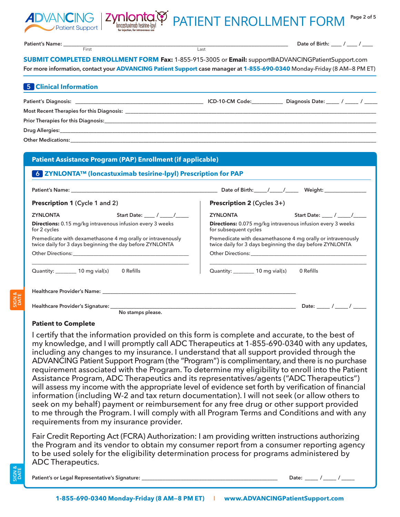



First Last

**Patient's Name: \_\_\_\_\_\_\_\_\_\_\_\_\_\_\_\_\_\_\_\_\_\_\_\_\_\_\_\_\_\_\_\_\_\_\_\_\_\_\_\_\_\_\_\_\_\_\_\_\_\_\_\_\_\_\_\_\_\_\_\_\_\_\_\_\_\_\_\_\_\_\_\_\_\_\_\_\_\_\_\_\_\_\_\_\_\_**

**Date of Birth: \_\_\_\_ / \_\_\_\_ / \_\_\_\_**

**SUBMIT COMPLETED ENROLLMENT FORM Fax:** 1-855-915-3005 or **Email:** [support@ADVANCINGPatientSupport.com](mailto:support@ADVANCINGPatientSupport.com) **For more information, contact your ADVANCING Patient Support case manager at 1-855-690-0340** Monday-Friday (8 AM—8 PM ET)

| <b>5</b> Clinical Information                                                                                                                                                                                                  |                 |                         |
|--------------------------------------------------------------------------------------------------------------------------------------------------------------------------------------------------------------------------------|-----------------|-------------------------|
| Patient's Diagnosis: North and Secretary and Secretary and Secretary and Secretary and Secretary and Secretary                                                                                                                 | ICD-10-CM Code: | Diagnosis Date: / / / / |
| Most Recent Therapies for this Diagnosis: National Section of the Section of the Section of the Section of the Section of the Section of the Section of the Section of the Section of the Section of the Section of the Sectio |                 |                         |
| Prior Therapies for this Diagnosis: Department of the Contract of the Contract of the Contract of the Contract of the Contract of the Contract of the Contract of the Contract of the Contract of the Contract of the Contract |                 |                         |
|                                                                                                                                                                                                                                |                 |                         |
| <b>Other Medications:</b>                                                                                                                                                                                                      |                 |                         |

| Patient Assistance Program (PAP) Enrollment (if applicable)<br>6 ZYNLONTA™ (loncastuximab tesirine-lpyl) Prescription for PAP<br><b>Prescription 2 (Cycles 3+)</b><br><b>ZYNLONTA</b><br>for subsequent cycles<br>Quantity: _________ 10 mg vial(s) 0 Refills | Start Date: ___ / ___ /____<br>Directions: 0.075 mg/kg intravenous infusion every 3 weeks<br>Premedicate with dexamethasone 4 mg orally or intravenously<br>twice daily for 3 days beginning the day before ZYNLONTA                                                                                                                                                                                                                                                                                                                                                                                                                                                                                                                                                                                                                                                                                                                                                                  |
|---------------------------------------------------------------------------------------------------------------------------------------------------------------------------------------------------------------------------------------------------------------|---------------------------------------------------------------------------------------------------------------------------------------------------------------------------------------------------------------------------------------------------------------------------------------------------------------------------------------------------------------------------------------------------------------------------------------------------------------------------------------------------------------------------------------------------------------------------------------------------------------------------------------------------------------------------------------------------------------------------------------------------------------------------------------------------------------------------------------------------------------------------------------------------------------------------------------------------------------------------------------|
|                                                                                                                                                                                                                                                               |                                                                                                                                                                                                                                                                                                                                                                                                                                                                                                                                                                                                                                                                                                                                                                                                                                                                                                                                                                                       |
|                                                                                                                                                                                                                                                               |                                                                                                                                                                                                                                                                                                                                                                                                                                                                                                                                                                                                                                                                                                                                                                                                                                                                                                                                                                                       |
|                                                                                                                                                                                                                                                               |                                                                                                                                                                                                                                                                                                                                                                                                                                                                                                                                                                                                                                                                                                                                                                                                                                                                                                                                                                                       |
|                                                                                                                                                                                                                                                               |                                                                                                                                                                                                                                                                                                                                                                                                                                                                                                                                                                                                                                                                                                                                                                                                                                                                                                                                                                                       |
|                                                                                                                                                                                                                                                               |                                                                                                                                                                                                                                                                                                                                                                                                                                                                                                                                                                                                                                                                                                                                                                                                                                                                                                                                                                                       |
|                                                                                                                                                                                                                                                               |                                                                                                                                                                                                                                                                                                                                                                                                                                                                                                                                                                                                                                                                                                                                                                                                                                                                                                                                                                                       |
|                                                                                                                                                                                                                                                               |                                                                                                                                                                                                                                                                                                                                                                                                                                                                                                                                                                                                                                                                                                                                                                                                                                                                                                                                                                                       |
|                                                                                                                                                                                                                                                               |                                                                                                                                                                                                                                                                                                                                                                                                                                                                                                                                                                                                                                                                                                                                                                                                                                                                                                                                                                                       |
|                                                                                                                                                                                                                                                               |                                                                                                                                                                                                                                                                                                                                                                                                                                                                                                                                                                                                                                                                                                                                                                                                                                                                                                                                                                                       |
|                                                                                                                                                                                                                                                               |                                                                                                                                                                                                                                                                                                                                                                                                                                                                                                                                                                                                                                                                                                                                                                                                                                                                                                                                                                                       |
|                                                                                                                                                                                                                                                               |                                                                                                                                                                                                                                                                                                                                                                                                                                                                                                                                                                                                                                                                                                                                                                                                                                                                                                                                                                                       |
|                                                                                                                                                                                                                                                               |                                                                                                                                                                                                                                                                                                                                                                                                                                                                                                                                                                                                                                                                                                                                                                                                                                                                                                                                                                                       |
|                                                                                                                                                                                                                                                               |                                                                                                                                                                                                                                                                                                                                                                                                                                                                                                                                                                                                                                                                                                                                                                                                                                                                                                                                                                                       |
|                                                                                                                                                                                                                                                               |                                                                                                                                                                                                                                                                                                                                                                                                                                                                                                                                                                                                                                                                                                                                                                                                                                                                                                                                                                                       |
|                                                                                                                                                                                                                                                               |                                                                                                                                                                                                                                                                                                                                                                                                                                                                                                                                                                                                                                                                                                                                                                                                                                                                                                                                                                                       |
|                                                                                                                                                                                                                                                               |                                                                                                                                                                                                                                                                                                                                                                                                                                                                                                                                                                                                                                                                                                                                                                                                                                                                                                                                                                                       |
|                                                                                                                                                                                                                                                               |                                                                                                                                                                                                                                                                                                                                                                                                                                                                                                                                                                                                                                                                                                                                                                                                                                                                                                                                                                                       |
|                                                                                                                                                                                                                                                               |                                                                                                                                                                                                                                                                                                                                                                                                                                                                                                                                                                                                                                                                                                                                                                                                                                                                                                                                                                                       |
|                                                                                                                                                                                                                                                               |                                                                                                                                                                                                                                                                                                                                                                                                                                                                                                                                                                                                                                                                                                                                                                                                                                                                                                                                                                                       |
|                                                                                                                                                                                                                                                               |                                                                                                                                                                                                                                                                                                                                                                                                                                                                                                                                                                                                                                                                                                                                                                                                                                                                                                                                                                                       |
|                                                                                                                                                                                                                                                               | including any changes to my insurance. I understand that all support provided through the                                                                                                                                                                                                                                                                                                                                                                                                                                                                                                                                                                                                                                                                                                                                                                                                                                                                                             |
|                                                                                                                                                                                                                                                               | ADVANCING Patient Support Program (the "Program") is complimentary, and there is no purchase                                                                                                                                                                                                                                                                                                                                                                                                                                                                                                                                                                                                                                                                                                                                                                                                                                                                                          |
|                                                                                                                                                                                                                                                               | requirement associated with the Program. To determine my eligibility to enroll into the Patient                                                                                                                                                                                                                                                                                                                                                                                                                                                                                                                                                                                                                                                                                                                                                                                                                                                                                       |
|                                                                                                                                                                                                                                                               |                                                                                                                                                                                                                                                                                                                                                                                                                                                                                                                                                                                                                                                                                                                                                                                                                                                                                                                                                                                       |
|                                                                                                                                                                                                                                                               |                                                                                                                                                                                                                                                                                                                                                                                                                                                                                                                                                                                                                                                                                                                                                                                                                                                                                                                                                                                       |
|                                                                                                                                                                                                                                                               |                                                                                                                                                                                                                                                                                                                                                                                                                                                                                                                                                                                                                                                                                                                                                                                                                                                                                                                                                                                       |
|                                                                                                                                                                                                                                                               |                                                                                                                                                                                                                                                                                                                                                                                                                                                                                                                                                                                                                                                                                                                                                                                                                                                                                                                                                                                       |
|                                                                                                                                                                                                                                                               |                                                                                                                                                                                                                                                                                                                                                                                                                                                                                                                                                                                                                                                                                                                                                                                                                                                                                                                                                                                       |
|                                                                                                                                                                                                                                                               |                                                                                                                                                                                                                                                                                                                                                                                                                                                                                                                                                                                                                                                                                                                                                                                                                                                                                                                                                                                       |
|                                                                                                                                                                                                                                                               |                                                                                                                                                                                                                                                                                                                                                                                                                                                                                                                                                                                                                                                                                                                                                                                                                                                                                                                                                                                       |
|                                                                                                                                                                                                                                                               |                                                                                                                                                                                                                                                                                                                                                                                                                                                                                                                                                                                                                                                                                                                                                                                                                                                                                                                                                                                       |
|                                                                                                                                                                                                                                                               |                                                                                                                                                                                                                                                                                                                                                                                                                                                                                                                                                                                                                                                                                                                                                                                                                                                                                                                                                                                       |
|                                                                                                                                                                                                                                                               |                                                                                                                                                                                                                                                                                                                                                                                                                                                                                                                                                                                                                                                                                                                                                                                                                                                                                                                                                                                       |
|                                                                                                                                                                                                                                                               | I certify that the information provided on this form is complete and accurate, to the best of<br>my knowledge, and I will promptly call ADC Therapeutics at 1-855-690-0340 with any updates,<br>Assistance Program, ADC Therapeutics and its representatives/agents ("ADC Therapeutics")<br>will assess my income with the appropriate level of evidence set forth by verification of financial<br>information (including W-2 and tax return documentation). I will not seek (or allow others to<br>seek on my behalf) payment or reimbursement for any free drug or other support provided<br>to me through the Program. I will comply with all Program Terms and Conditions and with any<br>Fair Credit Reporting Act (FCRA) Authorization: I am providing written instructions authorizing<br>the Program and its vendor to obtain my consumer report from a consumer reporting agency<br>to be used solely for the eligibility determination process for programs administered by |

### **Patient to Complete**

**Patient's or Legal Representative's Signature: \_\_\_\_\_\_\_\_\_\_\_\_\_\_\_\_\_\_\_\_\_\_\_\_\_\_\_\_\_\_\_\_\_\_\_\_\_\_\_\_\_\_\_\_\_\_\_\_\_\_\_\_ Date: \_\_\_\_\_ / \_\_\_\_\_ / \_\_\_\_\_**

**SIGN & DATE**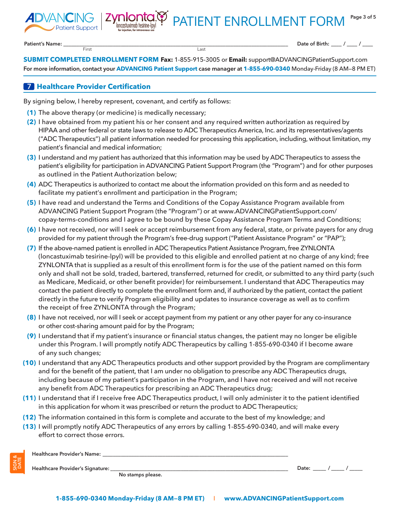PATIENT ENROLLMENT FORM

**Patient's Name: \_\_\_\_\_\_\_\_\_\_\_\_\_\_\_\_\_\_\_\_\_\_\_\_\_\_\_\_\_\_\_\_\_\_\_\_\_\_\_\_\_\_\_\_\_\_\_\_\_\_\_\_\_\_\_\_\_\_\_\_\_\_\_\_\_\_\_\_\_\_\_\_\_\_\_\_\_\_\_\_\_\_\_\_\_\_**

**SIGN & DATE**

**Date of Birth: \_\_\_\_ / \_\_\_\_ / \_\_\_\_**

**SUBMIT COMPLETED ENROLLMENT FORM Fax:** 1-855-915-3005 or **Email:** [support@ADVANCINGPatientSupport.com](mailto:support@ADVANCINGPatientSupport.com) **For more information, contact your ADVANCING Patient Support case manager at 1-855-690-0340** Monday-Friday (8 AM—8 PM ET)

## **7 Healthcare Provider Certification**

By signing below, I hereby represent, covenant, and certify as follows:

**for injection, for intravenous use**

*mlonta*<br>Ioncastuximab tesirine-Ipy

First Last

- **(1)** The above therapy (or medicine) is medically necessary;
- **(2)** I have obtained from my patient his or her consent and any required written authorization as required by HIPAA and other federal or state laws to release to ADC Therapeutics America, Inc. and its representatives/agents ("ADC Therapeutics") all patient information needed for processing this application, including, without limitation, my patient's financial and medical information;
- **(3)** I understand and my patient has authorized that this information may be used by ADC Therapeutics to assess the patient's eligibility for participation in ADVANCING Patient Support Program (the "Program") and for other purposes as outlined in the Patient Authorization below;
- **(4)** ADC Therapeutics is authorized to contact me about the information provided on this form and as needed to facilitate my patient's enrollment and participation in the Program;
- **(5)** I have read and understand the Terms and Conditions of the Copay Assistance Program available from ADVANCING Patient Support Program (the "Program") or at www.ADVANCINGPatientSupport.com/ copay-terms-conditions and I agree to be bound by these Copay Assistance Program Terms and Conditions;
- **(6)** I have not received, nor will I seek or accept reimbursement from any federal, state, or private payers for any drug provided for my patient through the Program's free-drug support ("Patient Assistance Program" or "PAP");
- **(7)** If the above-named patient is enrolled in ADC Therapeutics Patient Assistance Program, free ZYNLONTA (loncastuximab tesirine-lpyl) will be provided to this eligible and enrolled patient at no charge of any kind; free ZYNLONTA that is supplied as a result of this enrollment form is for the use of the patient named on this form only and shall not be sold, traded, bartered, transferred, returned for credit, or submitted to any third party (such as Medicare, Medicaid, or other benefit provider) for reimbursement. I understand that ADC Therapeutics may contact the patient directly to complete the enrollment form and, if authorized by the patient, contact the patient directly in the future to verify Program eligibility and updates to insurance coverage as well as to confirm the receipt of free ZYNLONTA through the Program;
- **(8)** I have not received, nor will I seek or accept payment from my patient or any other payer for any co-insurance or other cost-sharing amount paid for by the Program;
- **(9)** I understand that if my patient's insurance or financial status changes, the patient may no longer be eligible under this Program. I will promptly notify ADC Therapeutics by calling 1-855-690-0340 if I become aware of any such changes;
- **(10)** I understand that any ADC Therapeutics products and other support provided by the Program are complimentary and for the benefit of the patient, that I am under no obligation to prescribe any ADC Therapeutics drugs, including because of my patient's participation in the Program, and I have not received and will not receive any benefit from ADC Therapeutics for prescribing an ADC Therapeutics drug;
- **(11)** I understand that if I receive free ADC Therapeutics product, I will only administer it to the patient identified in this application for whom it was prescribed or return the product to ADC Therapeutics;
- **(12)** The information contained in this form is complete and accurate to the best of my knowledge; and
- **(13)** I will promptly notify ADC Therapeutics of any errors by calling 1-855-690-0340, and will make every effort to correct those errors.

| Healthcare Provider's Name:      |                   |       |
|----------------------------------|-------------------|-------|
| Healthcare Provider's Signature: |                   | Date. |
|                                  | No stamps please. |       |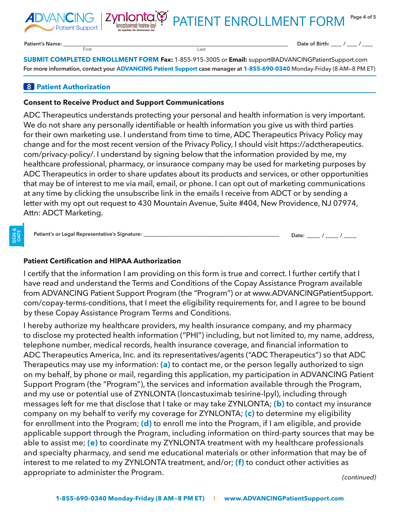

**Patient's Name: \_\_\_\_\_\_\_\_\_\_\_\_\_\_\_\_\_\_\_\_\_\_\_\_\_\_\_\_\_\_\_\_\_\_\_\_\_\_\_\_\_\_\_\_\_\_\_\_\_\_\_\_\_\_\_\_\_\_\_\_\_\_\_\_\_\_\_\_\_\_\_\_\_\_\_\_\_\_\_\_\_\_\_\_\_\_**

**Date of Birth: \_\_\_\_ / \_\_\_\_ / \_\_\_\_**

**SUBMIT COMPLETED ENROLLMENT FORM Fax:** 1-855-915-3005 or **Email:** [support@ADVANCINGPatientSupport.com](mailto:support@ADVANCINGPatientSupport.com) **For more information, contact your ADVANCING Patient Support case manager at 1-855-690-0340** Monday-Friday (8 AM—8 PM ET)

# **8 Patient Authorization**

Patient Support

## **Consent to Receive Product and Support Communications**

**for injection, for intravenous use**

Zynlonta.cp

First Last

ADC Therapeutics understands protecting your personal and health information is very important. We do not share any personally identifiable or health information you give us with third parties for their own marketing use. I understand from time to time, ADC Therapeutics Privacy Policy may change and for the most recent version of the Privacy Policy, I should visit https://adctherapeutics. com/privacy-policy/. I understand by signing below that the information provided by me, my healthcare professional, pharmacy, or insurance company may be used for marketing purposes by ADC Therapeutics in order to share updates about its products and services, or other opportunities that may be of interest to me via mail, email, or phone. I can opt out of marketing communications at any time by clicking the unsubscribe link in the emails I receive from ADCT or by sending a letter with my opt out request to 430 Mountain Avenue, Suite #404, New Providence, NJ 07974, Attn: ADCT Marketing.

**Patient's or Legal Representative's Signature: \_\_\_\_\_\_\_\_\_\_\_\_\_\_\_\_\_\_\_\_\_\_\_\_\_\_\_\_\_\_\_\_\_\_\_\_\_\_\_\_\_\_\_\_\_\_\_\_\_\_\_\_ Date: \_\_\_\_\_ / \_\_\_\_\_ / \_\_\_\_\_**

## **Patient Certification and HIPAA Authorization**

I certify that the information I am providing on this form is true and correct. I further certify that I have read and understand the Terms and Conditions of the Copay Assistance Program available from ADVANCING Patient Support Program (the "Program") or at www.ADVANCINGPatientSupport. com/copay-terms-conditions, that I meet the eligibility requirements for, and I agree to be bound by these Copay Assistance Program Terms and Conditions.

I hereby authorize my healthcare providers, my health insurance company, and my pharmacy to disclose my protected health information ("PHI") including, but not limited to, my name, address, telephone number, medical records, health insurance coverage, and financial information to ADC Therapeutics America, Inc. and its representatives/agents ("ADC Therapeutics") so that ADC Therapeutics may use my information: **(a)** to contact me, or the person legally authorized to sign on my behalf, by phone or mail, regarding this application, my participation in ADVANCING Patient Support Program (the "Program"), the services and information available through the Program, and my use or potential use of ZYNLONTA (loncastuximab tesirine-lpyl), including through messages left for me that disclose that I take or may take ZYNLONTA; **(b)** to contact my insurance company on my behalf to verify my coverage for ZYNLONTA; **(c)** to determine my eligibility for enrollment into the Program; **(d)** to enroll me into the Program, if I am eligible, and provide applicable support through the Program, including information on third-party sources that may be able to assist me; **(e)** to coordinate my ZYNLONTA treatment with my healthcare professionals and specialty pharmacy, and send me educational materials or other information that may be of interest to me related to my ZYNLONTA treatment, and/or; **(f)** to conduct other activities as appropriate to administer the Program. *(continued)*